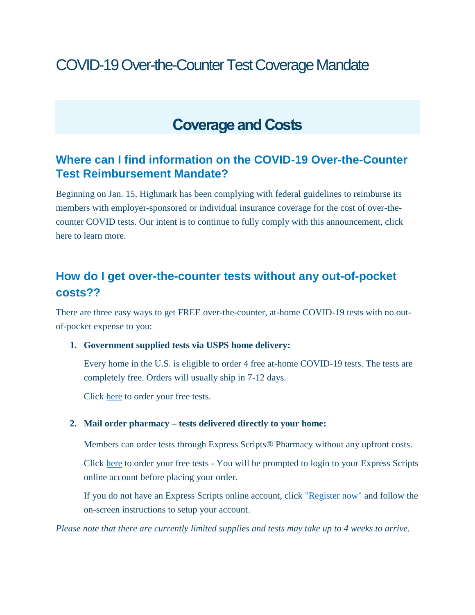# COVID-19 Over-the-Counter Test Coverage Mandate

## **Coverage and Costs**

### **Where can I find information on the COVID-19 Over-the-Counter Test Reimbursement Mandate?**

Beginning on Jan. 15, Highmark has been complying with federal guidelines to reimburse its members with employer-sponsored or individual insurance coverage for the cost of over-thecounter COVID tests. Our intent is to continue to fully comply with this announcement, click [here](https://faqs.discoverhighmark.com/over-the-counter-test-reimbursement/) to learn more.

### **How do I get over-the-counter tests without any out-of-pocket costs??**

There are three easy ways to get FREE over-the-counter, at-home COVID-19 tests with no outof-pocket expense to you:

#### **1. Government supplied tests via USPS home delivery:**

Every home in the U.S. is eligible to order 4 free at-home COVID-19 tests. The tests are completely free. Orders will usually ship in 7-12 days.

Click [here](https://www.covidtests.gov/) to order your free tests.

### **2. Mail order pharmacy – tests delivered directly to your home:**

Members can order tests through Express Scripts® Pharmacy without any upfront costs.

Click [here](https://www.express-scripts.com/login?routingPage=/frontend/consumer/%23/forms/ordercovidtestkit) to order your free tests - You will be prompted to login to your Express Scripts online account before placing your order.

If you do not have an Express Scripts online account, click ["Register now"](https://www.express-scripts.com/register) and follow the on-screen instructions to setup your account.

*Please note that there are currently limited supplies and tests may take up to 4 weeks to arrive.*